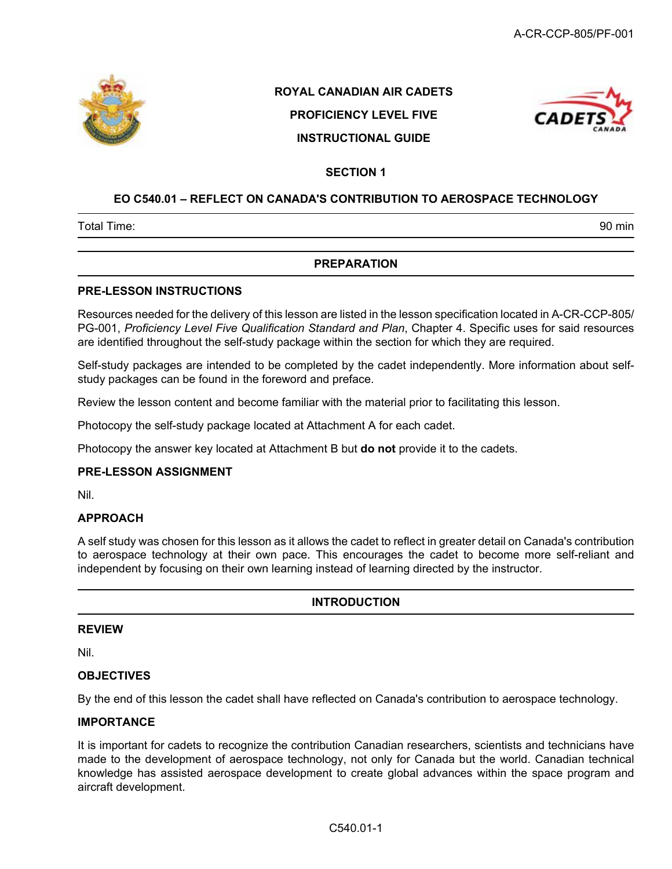

# **ROYAL CANADIAN AIR CADETS PROFICIENCY LEVEL FIVE INSTRUCTIONAL GUIDE**



# **SECTION 1**

# **EO C540.01 – REFLECT ON CANADA'S CONTRIBUTION TO AEROSPACE TECHNOLOGY**

Total Time: 90 min

#### **PREPARATION**

#### **PRE-LESSON INSTRUCTIONS**

Resources needed for the delivery of this lesson are listed in the lesson specification located in A-CR-CCP-805/ PG-001, *Proficiency Level Five Qualification Standard and Plan*, Chapter 4. Specific uses for said resources are identified throughout the self-study package within the section for which they are required.

Self-study packages are intended to be completed by the cadet independently. More information about selfstudy packages can be found in the foreword and preface.

Review the lesson content and become familiar with the material prior to facilitating this lesson.

Photocopy the self-study package located at Attachment A for each cadet.

Photocopy the answer key located at Attachment B but **do not** provide it to the cadets.

#### **PRE-LESSON ASSIGNMENT**

Nil.

#### **APPROACH**

A self study was chosen for this lesson as it allows the cadet to reflect in greater detail on Canada's contribution to aerospace technology at their own pace. This encourages the cadet to become more self-reliant and independent by focusing on their own learning instead of learning directed by the instructor.

#### **INTRODUCTION**

#### **REVIEW**

Nil.

#### **OBJECTIVES**

By the end of this lesson the cadet shall have reflected on Canada's contribution to aerospace technology.

#### **IMPORTANCE**

It is important for cadets to recognize the contribution Canadian researchers, scientists and technicians have made to the development of aerospace technology, not only for Canada but the world. Canadian technical knowledge has assisted aerospace development to create global advances within the space program and aircraft development.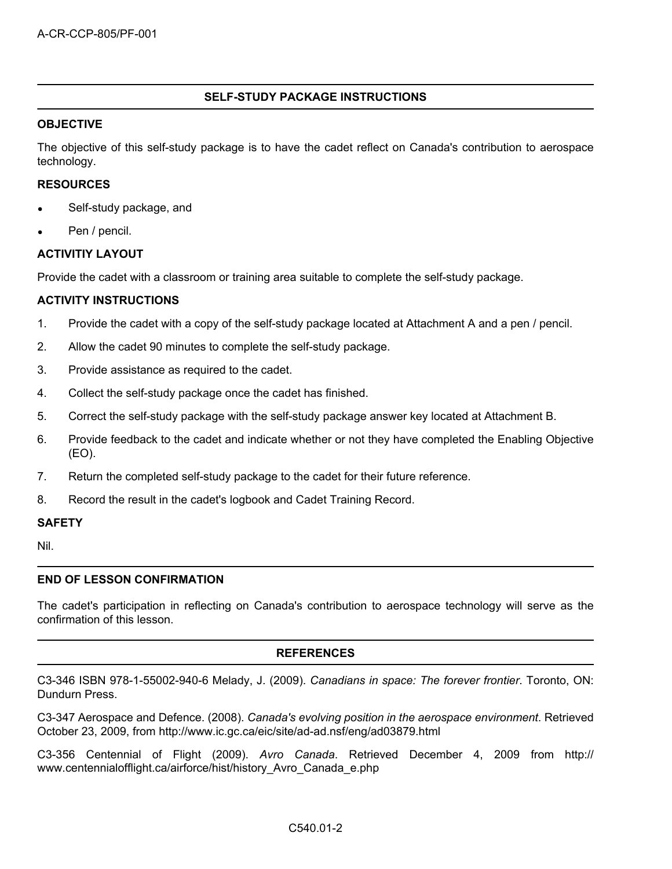# **SELF-STUDY PACKAGE INSTRUCTIONS**

#### **OBJECTIVE**

The objective of this self-study package is to have the cadet reflect on Canada's contribution to aerospace technology.

#### **RESOURCES**

- Self-study package, and
- Pen / pencil.

#### **ACTIVITIY LAYOUT**

Provide the cadet with a classroom or training area suitable to complete the self-study package.

#### **ACTIVITY INSTRUCTIONS**

- 1. Provide the cadet with a copy of the self-study package located at Attachment A and a pen / pencil.
- 2. Allow the cadet 90 minutes to complete the self-study package.
- 3. Provide assistance as required to the cadet.
- 4. Collect the self-study package once the cadet has finished.
- 5. Correct the self-study package with the self-study package answer key located at Attachment B.
- 6. Provide feedback to the cadet and indicate whether or not they have completed the Enabling Objective (EO).
- 7. Return the completed self-study package to the cadet for their future reference.
- 8. Record the result in the cadet's logbook and Cadet Training Record.

#### **SAFETY**

Nil.

#### **END OF LESSON CONFIRMATION**

The cadet's participation in reflecting on Canada's contribution to aerospace technology will serve as the confirmation of this lesson.

#### **REFERENCES**

C3-346 ISBN 978-1-55002-940-6 Melady, J. (2009). *Canadians in space: The forever frontier*. Toronto, ON: Dundurn Press.

C3-347 Aerospace and Defence. (2008). *Canada's evolving position in the aerospace environment*. Retrieved October 23, 2009, from http://www.ic.gc.ca/eic/site/ad-ad.nsf/eng/ad03879.html

C3-356 Centennial of Flight (2009). *Avro Canada*. Retrieved December 4, 2009 from http:// www.centennialofflight.ca/airforce/hist/history\_Avro\_Canada\_e.php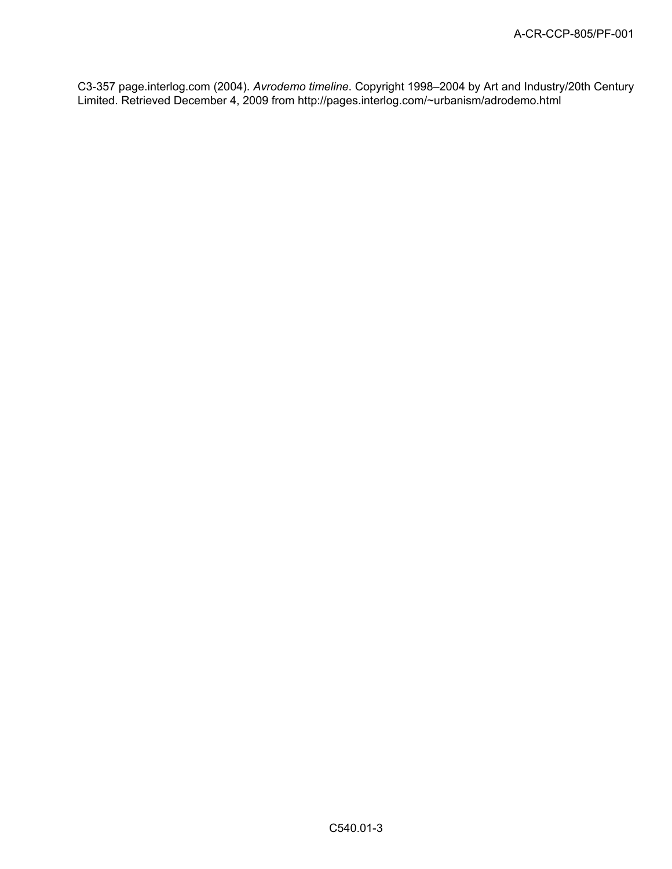C3-357 page.interlog.com (2004). *Avrodemo timeline*. Copyright 1998–2004 by Art and Industry/20th Century Limited. Retrieved December 4, 2009 from http://pages.interlog.com/~urbanism/adrodemo.html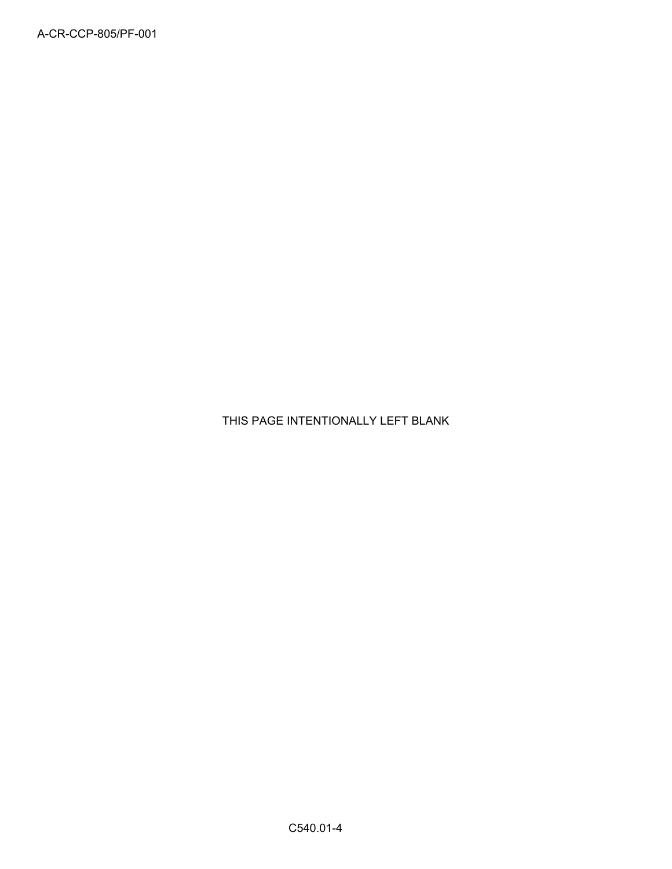THIS PAGE INTENTIONALLY LEFT BLANK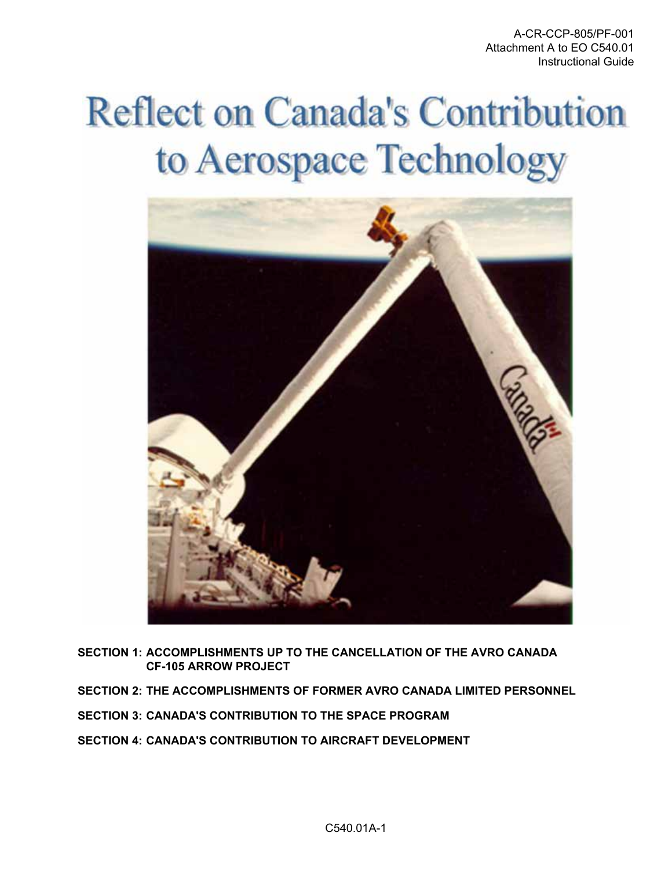# **Reflect on Canada's Contribution** to Aerospace Technology



**SECTION 1: ACCOMPLISHMENTS UP TO THE CANCELLATION OF THE AVRO CANADA CF-105 ARROW PROJECT**

**SECTION 2: THE ACCOMPLISHMENTS OF FORMER AVRO CANADA LIMITED PERSONNEL**

**SECTION 3: CANADA'S CONTRIBUTION TO THE SPACE PROGRAM**

**SECTION 4: CANADA'S CONTRIBUTION TO AIRCRAFT DEVELOPMENT**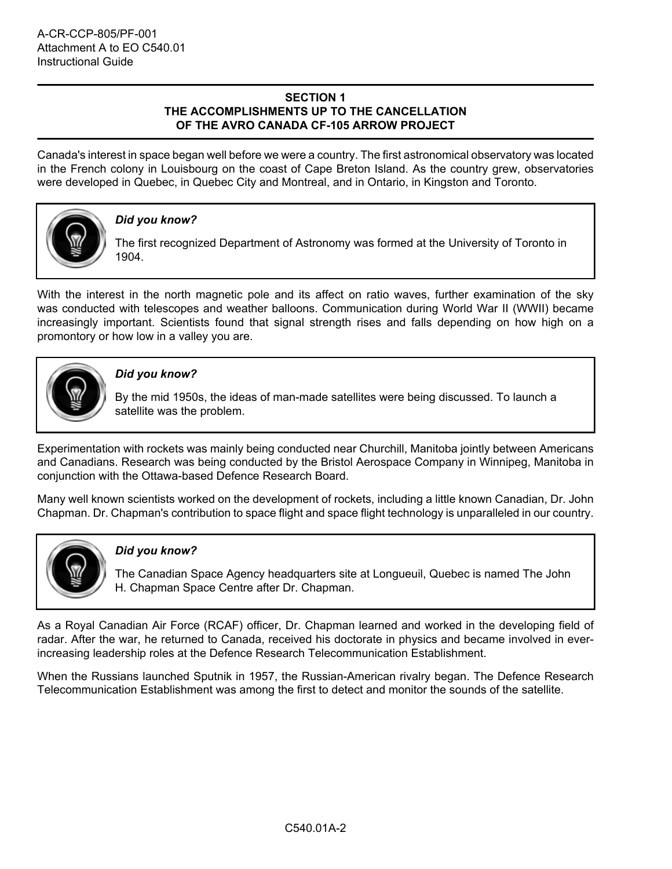# **SECTION 1 THE ACCOMPLISHMENTS UP TO THE CANCELLATION OF THE AVRO CANADA CF-105 ARROW PROJECT**

Canada's interest in space began well before we were a country. The first astronomical observatory was located in the French colony in Louisbourg on the coast of Cape Breton Island. As the country grew, observatories were developed in Quebec, in Quebec City and Montreal, and in Ontario, in Kingston and Toronto.



# *Did you know?*

The first recognized Department of Astronomy was formed at the University of Toronto in 1904.

With the interest in the north magnetic pole and its affect on ratio waves, further examination of the sky was conducted with telescopes and weather balloons. Communication during World War II (WWII) became increasingly important. Scientists found that signal strength rises and falls depending on how high on a promontory or how low in a valley you are.



# *Did you know?*

By the mid 1950s, the ideas of man-made satellites were being discussed. To launch a satellite was the problem.

Experimentation with rockets was mainly being conducted near Churchill, Manitoba jointly between Americans and Canadians. Research was being conducted by the Bristol Aerospace Company in Winnipeg, Manitoba in conjunction with the Ottawa-based Defence Research Board.

Many well known scientists worked on the development of rockets, including a little known Canadian, Dr. John Chapman. Dr. Chapman's contribution to space flight and space flight technology is unparalleled in our country.



# *Did you know?*

The Canadian Space Agency headquarters site at Longueuil, Quebec is named The John H. Chapman Space Centre after Dr. Chapman.

As a Royal Canadian Air Force (RCAF) officer, Dr. Chapman learned and worked in the developing field of radar. After the war, he returned to Canada, received his doctorate in physics and became involved in everincreasing leadership roles at the Defence Research Telecommunication Establishment.

When the Russians launched Sputnik in 1957, the Russian-American rivalry began. The Defence Research Telecommunication Establishment was among the first to detect and monitor the sounds of the satellite.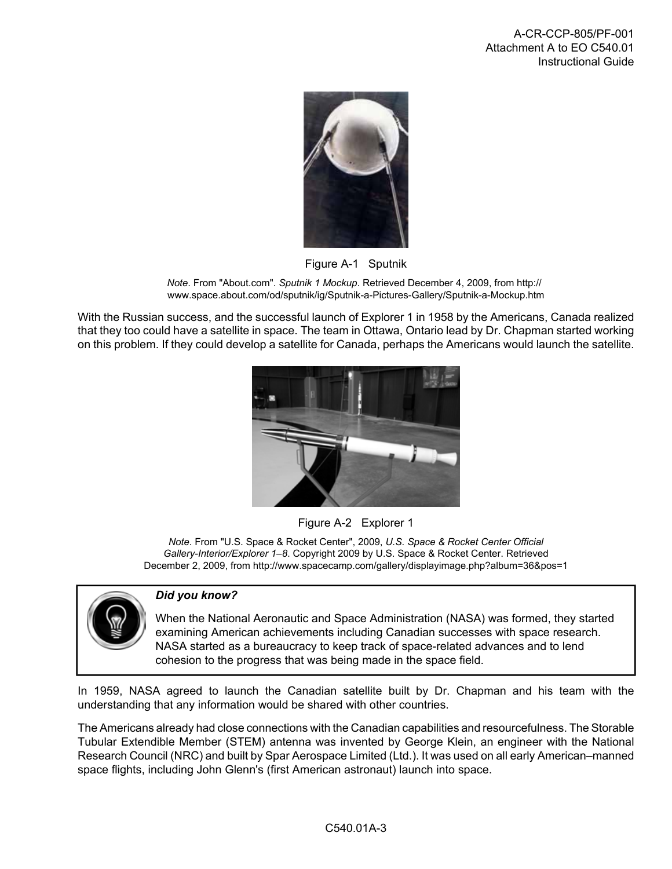

Figure A-1 Sputnik

*Note*. From "About.com". *Sputnik 1 Mockup*. Retrieved December 4, 2009, from http:// www.space.about.com/od/sputnik/ig/Sputnik-a-Pictures-Gallery/Sputnik-a-Mockup.htm

With the Russian success, and the successful launch of Explorer 1 in 1958 by the Americans, Canada realized that they too could have a satellite in space. The team in Ottawa, Ontario lead by Dr. Chapman started working on this problem. If they could develop a satellite for Canada, perhaps the Americans would launch the satellite.



Figure A-2 Explorer 1

*Note*. From "U.S. Space & Rocket Center", 2009, *U.S. Space & Rocket Center Official Gallery-Interior/Explorer 1–8*. Copyright 2009 by U.S. Space & Rocket Center. Retrieved December 2, 2009, from http://www.spacecamp.com/gallery/displayimage.php?album=36&pos=1



# *Did you know?*

When the National Aeronautic and Space Administration (NASA) was formed, they started examining American achievements including Canadian successes with space research. NASA started as a bureaucracy to keep track of space-related advances and to lend cohesion to the progress that was being made in the space field.

In 1959, NASA agreed to launch the Canadian satellite built by Dr. Chapman and his team with the understanding that any information would be shared with other countries.

The Americans already had close connections with the Canadian capabilities and resourcefulness. The Storable Tubular Extendible Member (STEM) antenna was invented by George Klein, an engineer with the National Research Council (NRC) and built by Spar Aerospace Limited (Ltd.). It was used on all early American–manned space flights, including John Glenn's (first American astronaut) launch into space.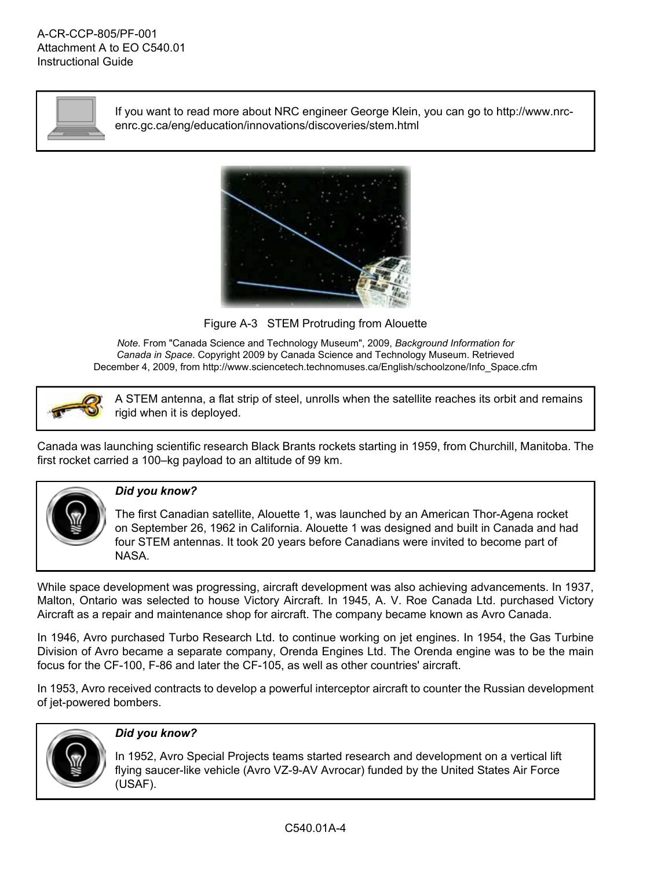

If you want to read more about NRC engineer George Klein, you can go to http://www.nrcenrc.gc.ca/eng/education/innovations/discoveries/stem.html



Figure A-3 STEM Protruding from Alouette

*Note*. From "Canada Science and Technology Museum", 2009, *Background Information for Canada in Space*. Copyright 2009 by Canada Science and Technology Museum. Retrieved December 4, 2009, from http://www.sciencetech.technomuses.ca/English/schoolzone/Info\_Space.cfm



A STEM antenna, a flat strip of steel, unrolls when the satellite reaches its orbit and remains rigid when it is deployed.

Canada was launching scientific research Black Brants rockets starting in 1959, from Churchill, Manitoba. The first rocket carried a 100–kg payload to an altitude of 99 km.



# *Did you know?*

The first Canadian satellite, Alouette 1, was launched by an American Thor-Agena rocket on September 26, 1962 in California. Alouette 1 was designed and built in Canada and had four STEM antennas. It took 20 years before Canadians were invited to become part of NASA.

While space development was progressing, aircraft development was also achieving advancements. In 1937, Malton, Ontario was selected to house Victory Aircraft. In 1945, A. V. Roe Canada Ltd. purchased Victory Aircraft as a repair and maintenance shop for aircraft. The company became known as Avro Canada.

In 1946, Avro purchased Turbo Research Ltd. to continue working on jet engines. In 1954, the Gas Turbine Division of Avro became a separate company, Orenda Engines Ltd. The Orenda engine was to be the main focus for the CF-100, F-86 and later the CF-105, as well as other countries' aircraft.

In 1953, Avro received contracts to develop a powerful interceptor aircraft to counter the Russian development of jet-powered bombers.



#### *Did you know?*

In 1952, Avro Special Projects teams started research and development on a vertical lift flying saucer-like vehicle (Avro VZ-9-AV Avrocar) funded by the United States Air Force (USAF).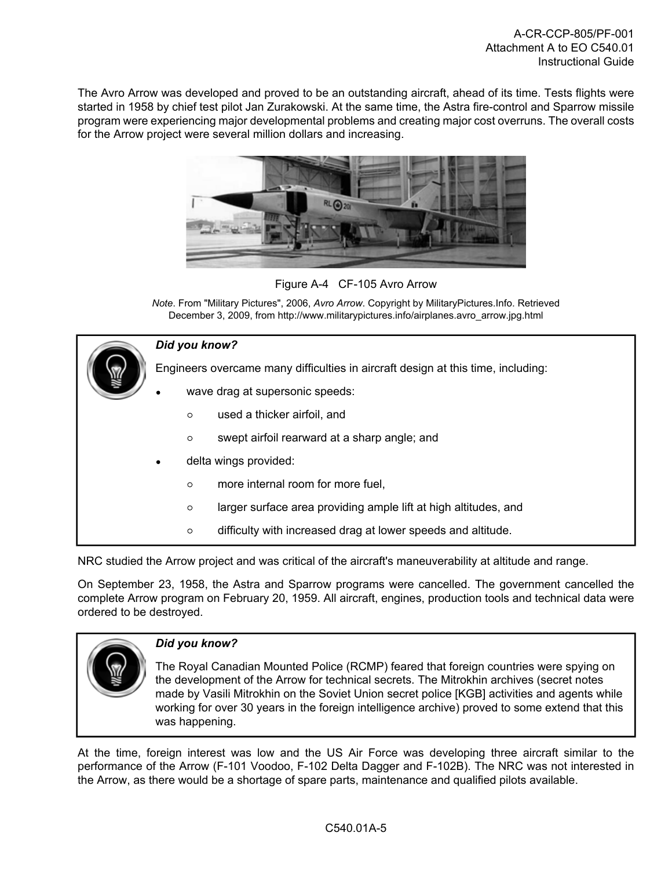The Avro Arrow was developed and proved to be an outstanding aircraft, ahead of its time. Tests flights were started in 1958 by chief test pilot Jan Zurakowski. At the same time, the Astra fire-control and Sparrow missile program were experiencing major developmental problems and creating major cost overruns. The overall costs for the Arrow project were several million dollars and increasing.



Figure A-4 CF-105 Avro Arrow

*Note*. From "Military Pictures", 2006, *Avro Arrow*. Copyright by MilitaryPictures.Info. Retrieved December 3, 2009, from http://www.militarypictures.info/airplanes.avro\_arrow.jpg.html



NRC studied the Arrow project and was critical of the aircraft's maneuverability at altitude and range.

On September 23, 1958, the Astra and Sparrow programs were cancelled. The government cancelled the complete Arrow program on February 20, 1959. All aircraft, engines, production tools and technical data were ordered to be destroyed.



# *Did you know?*

The Royal Canadian Mounted Police (RCMP) feared that foreign countries were spying on the development of the Arrow for technical secrets. The Mitrokhin archives (secret notes made by Vasili Mitrokhin on the Soviet Union secret police [KGB] activities and agents while working for over 30 years in the foreign intelligence archive) proved to some extend that this was happening.

At the time, foreign interest was low and the US Air Force was developing three aircraft similar to the performance of the Arrow (F-101 Voodoo, F-102 Delta Dagger and F-102B). The NRC was not interested in the Arrow, as there would be a shortage of spare parts, maintenance and qualified pilots available.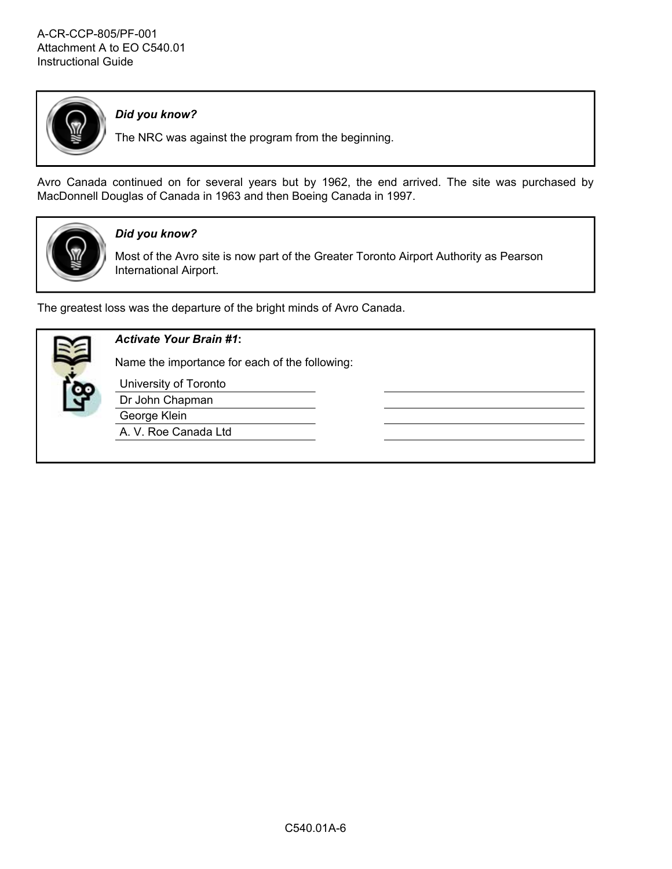

#### *Did you know?*

The NRC was against the program from the beginning.

Avro Canada continued on for several years but by 1962, the end arrived. The site was purchased by MacDonnell Douglas of Canada in 1963 and then Boeing Canada in 1997.



# *Did you know?*

Most of the Avro site is now part of the Greater Toronto Airport Authority as Pearson International Airport.

The greatest loss was the departure of the bright minds of Avro Canada.

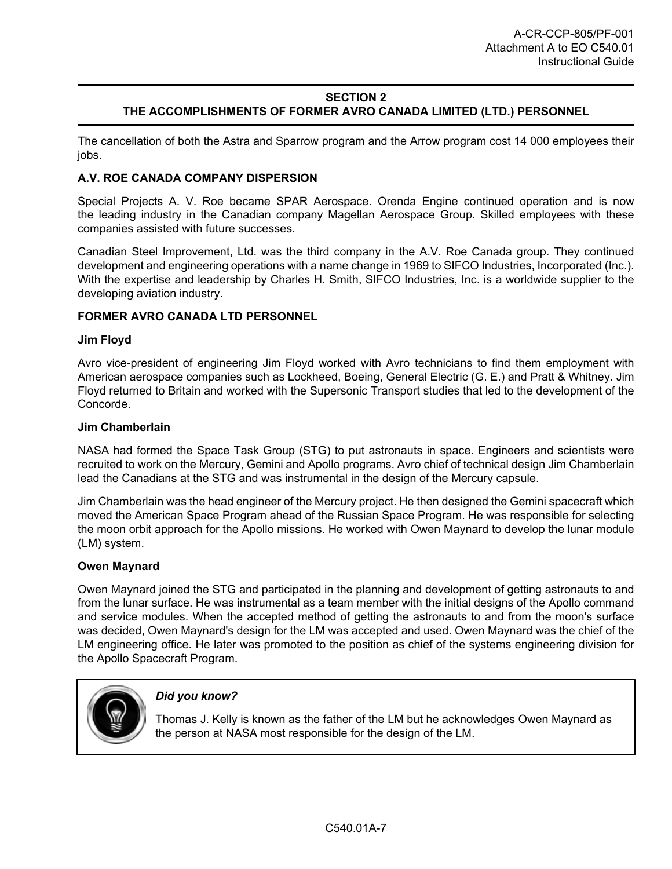#### **SECTION 2**

#### **THE ACCOMPLISHMENTS OF FORMER AVRO CANADA LIMITED (LTD.) PERSONNEL**

The cancellation of both the Astra and Sparrow program and the Arrow program cost 14 000 employees their jobs.

#### **A.V. ROE CANADA COMPANY DISPERSION**

Special Projects A. V. Roe became SPAR Aerospace. Orenda Engine continued operation and is now the leading industry in the Canadian company Magellan Aerospace Group. Skilled employees with these companies assisted with future successes.

Canadian Steel Improvement, Ltd. was the third company in the A.V. Roe Canada group. They continued development and engineering operations with a name change in 1969 to SIFCO Industries, Incorporated (Inc.). With the expertise and leadership by Charles H. Smith, SIFCO Industries, Inc. is a worldwide supplier to the developing aviation industry.

#### **FORMER AVRO CANADA LTD PERSONNEL**

#### **Jim Floyd**

Avro vice-president of engineering Jim Floyd worked with Avro technicians to find them employment with American aerospace companies such as Lockheed, Boeing, General Electric (G. E.) and Pratt & Whitney. Jim Floyd returned to Britain and worked with the Supersonic Transport studies that led to the development of the Concorde.

#### **Jim Chamberlain**

NASA had formed the Space Task Group (STG) to put astronauts in space. Engineers and scientists were recruited to work on the Mercury, Gemini and Apollo programs. Avro chief of technical design Jim Chamberlain lead the Canadians at the STG and was instrumental in the design of the Mercury capsule.

Jim Chamberlain was the head engineer of the Mercury project. He then designed the Gemini spacecraft which moved the American Space Program ahead of the Russian Space Program. He was responsible for selecting the moon orbit approach for the Apollo missions. He worked with Owen Maynard to develop the lunar module (LM) system.

#### **Owen Maynard**

Owen Maynard joined the STG and participated in the planning and development of getting astronauts to and from the lunar surface. He was instrumental as a team member with the initial designs of the Apollo command and service modules. When the accepted method of getting the astronauts to and from the moon's surface was decided, Owen Maynard's design for the LM was accepted and used. Owen Maynard was the chief of the LM engineering office. He later was promoted to the position as chief of the systems engineering division for the Apollo Spacecraft Program.



#### *Did you know?*

Thomas J. Kelly is known as the father of the LM but he acknowledges Owen Maynard as the person at NASA most responsible for the design of the LM.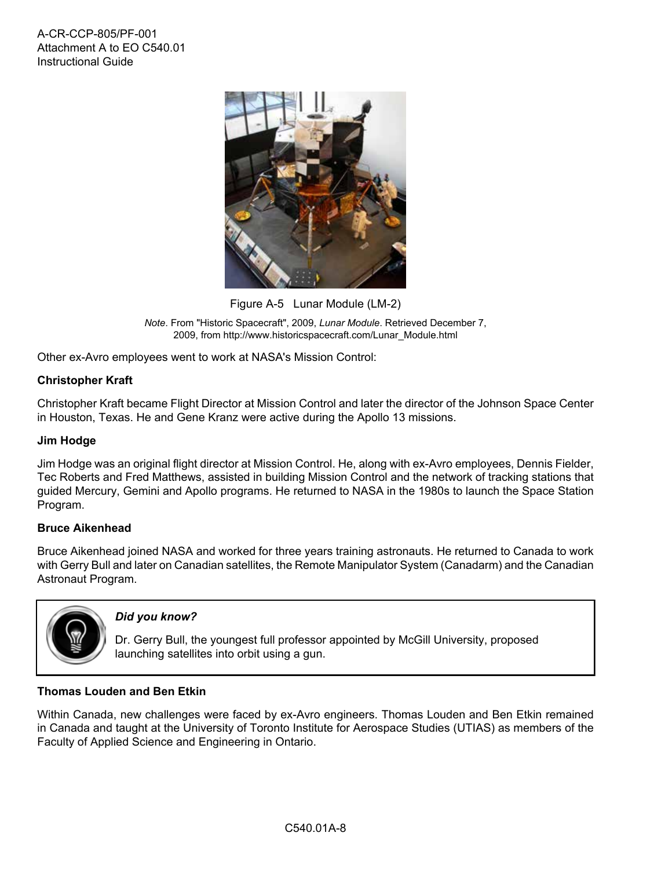

Figure A-5 Lunar Module (LM-2)

*Note*. From "Historic Spacecraft", 2009, *Lunar Module*. Retrieved December 7, 2009, from http://www.historicspacecraft.com/Lunar\_Module.html

Other ex-Avro employees went to work at NASA's Mission Control:

#### **Christopher Kraft**

Christopher Kraft became Flight Director at Mission Control and later the director of the Johnson Space Center in Houston, Texas. He and Gene Kranz were active during the Apollo 13 missions.

#### **Jim Hodge**

Jim Hodge was an original flight director at Mission Control. He, along with ex-Avro employees, Dennis Fielder, Tec Roberts and Fred Matthews, assisted in building Mission Control and the network of tracking stations that guided Mercury, Gemini and Apollo programs. He returned to NASA in the 1980s to launch the Space Station Program.

#### **Bruce Aikenhead**

Bruce Aikenhead joined NASA and worked for three years training astronauts. He returned to Canada to work with Gerry Bull and later on Canadian satellites, the Remote Manipulator System (Canadarm) and the Canadian Astronaut Program.



#### *Did you know?*

Dr. Gerry Bull, the youngest full professor appointed by McGill University, proposed launching satellites into orbit using a gun.

#### **Thomas Louden and Ben Etkin**

Within Canada, new challenges were faced by ex-Avro engineers. Thomas Louden and Ben Etkin remained in Canada and taught at the University of Toronto Institute for Aerospace Studies (UTIAS) as members of the Faculty of Applied Science and Engineering in Ontario.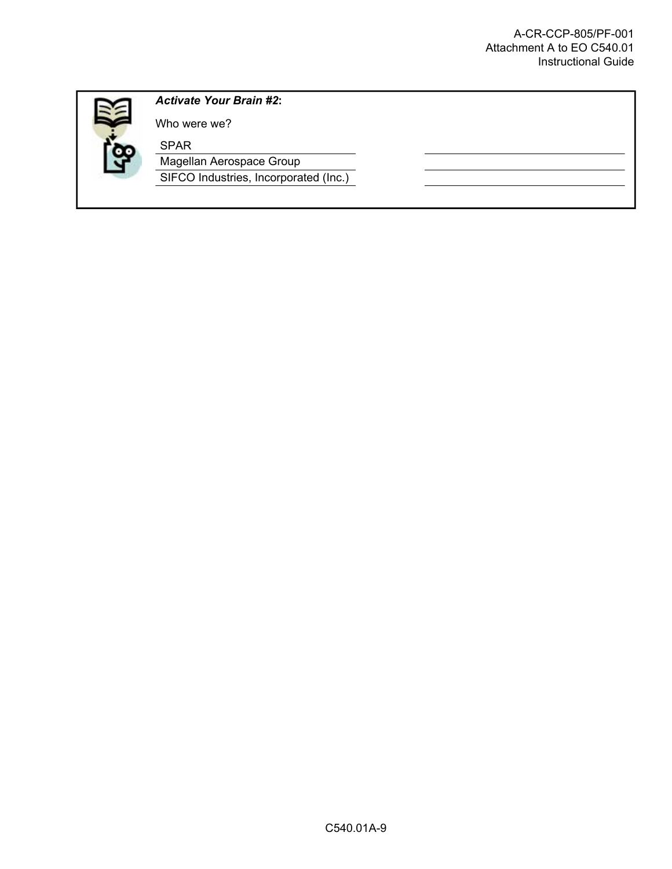

# *Activate Your Brain #2***:**

Who were we?

SPAR

Magellan Aerospace Group SIFCO Industries, Incorporated (Inc.)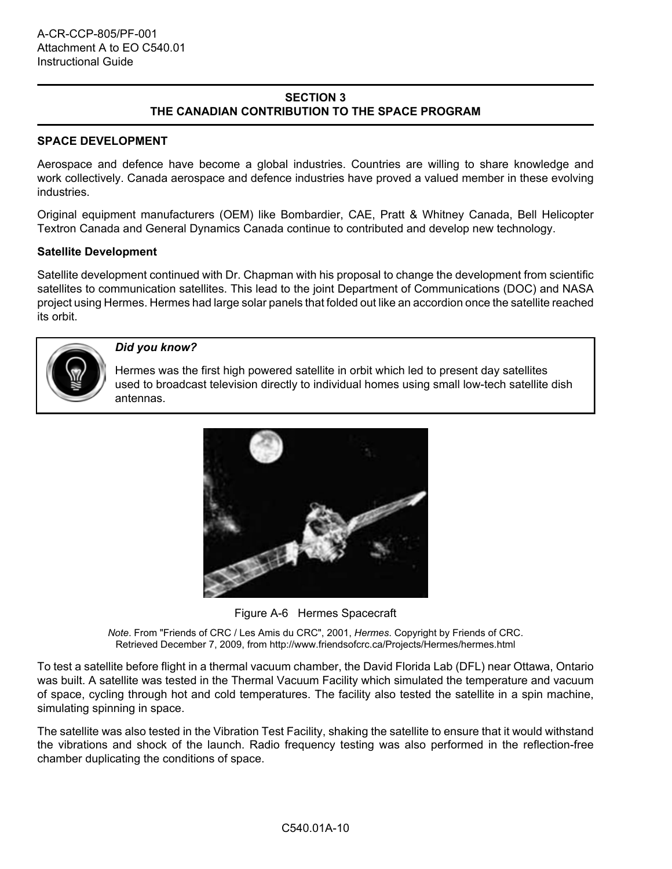# **SECTION 3 THE CANADIAN CONTRIBUTION TO THE SPACE PROGRAM**

#### **SPACE DEVELOPMENT**

Aerospace and defence have become a global industries. Countries are willing to share knowledge and work collectively. Canada aerospace and defence industries have proved a valued member in these evolving industries.

Original equipment manufacturers (OEM) like Bombardier, CAE, Pratt & Whitney Canada, Bell Helicopter Textron Canada and General Dynamics Canada continue to contributed and develop new technology.

#### **Satellite Development**

Satellite development continued with Dr. Chapman with his proposal to change the development from scientific satellites to communication satellites. This lead to the joint Department of Communications (DOC) and NASA project using Hermes. Hermes had large solar panels that folded out like an accordion once the satellite reached its orbit.



#### *Did you know?*

Hermes was the first high powered satellite in orbit which led to present day satellites used to broadcast television directly to individual homes using small low-tech satellite dish antennas.



Figure A-6 Hermes Spacecraft

*Note*. From "Friends of CRC / Les Amis du CRC", 2001, *Hermes*. Copyright by Friends of CRC. Retrieved December 7, 2009, from http://www.friendsofcrc.ca/Projects/Hermes/hermes.html

To test a satellite before flight in a thermal vacuum chamber, the David Florida Lab (DFL) near Ottawa, Ontario was built. A satellite was tested in the Thermal Vacuum Facility which simulated the temperature and vacuum of space, cycling through hot and cold temperatures. The facility also tested the satellite in a spin machine, simulating spinning in space.

The satellite was also tested in the Vibration Test Facility, shaking the satellite to ensure that it would withstand the vibrations and shock of the launch. Radio frequency testing was also performed in the reflection-free chamber duplicating the conditions of space.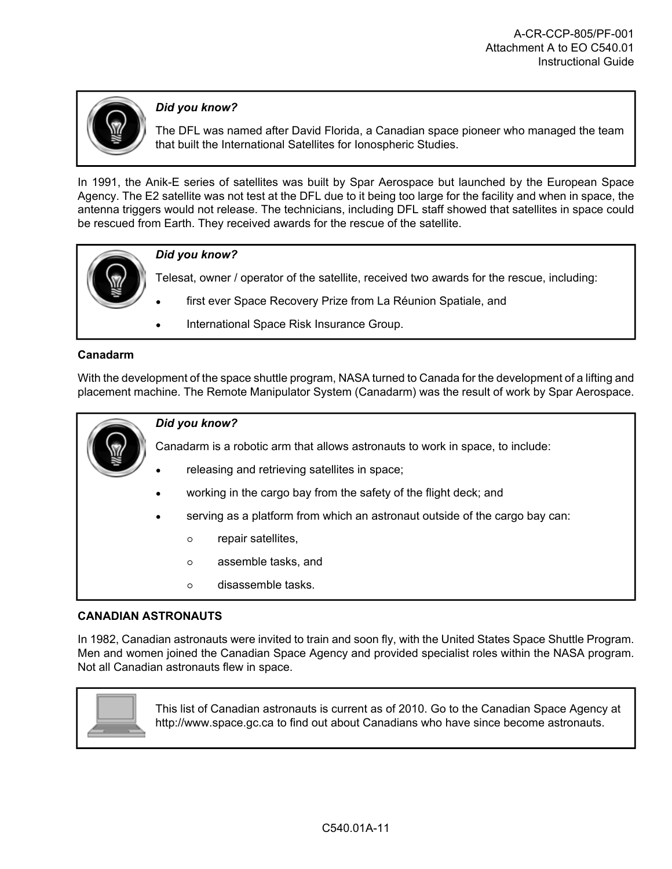

#### *Did you know?*

The DFL was named after David Florida, a Canadian space pioneer who managed the team that built the International Satellites for Ionospheric Studies.

In 1991, the Anik-E series of satellites was built by Spar Aerospace but launched by the European Space Agency. The E2 satellite was not test at the DFL due to it being too large for the facility and when in space, the antenna triggers would not release. The technicians, including DFL staff showed that satellites in space could be rescued from Earth. They received awards for the rescue of the satellite.



# *Did you know?*

Telesat, owner / operator of the satellite, received two awards for the rescue, including:

- first ever Space Recovery Prize from La Réunion Spatiale, and
- International Space Risk Insurance Group.  $\bullet$

#### **Canadarm**

With the development of the space shuttle program, NASA turned to Canada for the development of a lifting and placement machine. The Remote Manipulator System (Canadarm) was the result of work by Spar Aerospace.



#### *Did you know?*

Canadarm is a robotic arm that allows astronauts to work in space, to include:

- releasing and retrieving satellites in space;
- working in the cargo bay from the safety of the flight deck; and
- serving as a platform from which an astronaut outside of the cargo bay can:
	- $\circ$ repair satellites,
	- $\circ$ assemble tasks, and
	- disassemble tasks.  $\circ$

#### **CANADIAN ASTRONAUTS**

In 1982, Canadian astronauts were invited to train and soon fly, with the United States Space Shuttle Program. Men and women joined the Canadian Space Agency and provided specialist roles within the NASA program. Not all Canadian astronauts flew in space.



This list of Canadian astronauts is current as of 2010. Go to the Canadian Space Agency at http://www.space.gc.ca to find out about Canadians who have since become astronauts.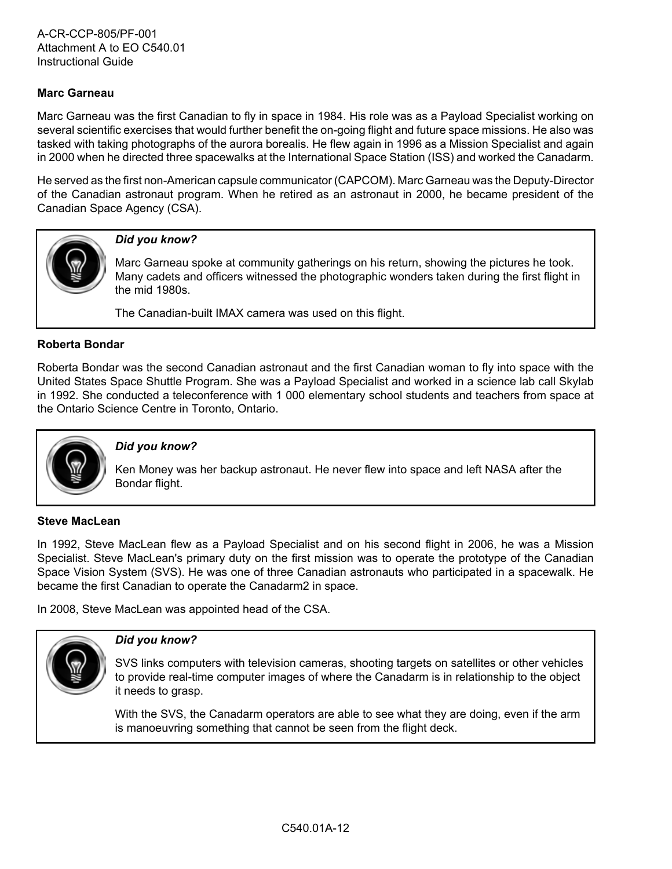# **Marc Garneau**

Marc Garneau was the first Canadian to fly in space in 1984. His role was as a Payload Specialist working on several scientific exercises that would further benefit the on-going flight and future space missions. He also was tasked with taking photographs of the aurora borealis. He flew again in 1996 as a Mission Specialist and again in 2000 when he directed three spacewalks at the International Space Station (ISS) and worked the Canadarm.

He served as the first non-American capsule communicator (CAPCOM). Marc Garneau was the Deputy-Director of the Canadian astronaut program. When he retired as an astronaut in 2000, he became president of the Canadian Space Agency (CSA).



#### *Did you know?*

Marc Garneau spoke at community gatherings on his return, showing the pictures he took. Many cadets and officers witnessed the photographic wonders taken during the first flight in the mid 1980s.

The Canadian-built IMAX camera was used on this flight.

#### **Roberta Bondar**

Roberta Bondar was the second Canadian astronaut and the first Canadian woman to fly into space with the United States Space Shuttle Program. She was a Payload Specialist and worked in a science lab call Skylab in 1992. She conducted a teleconference with 1 000 elementary school students and teachers from space at the Ontario Science Centre in Toronto, Ontario.



#### *Did you know?*

Ken Money was her backup astronaut. He never flew into space and left NASA after the Bondar flight.

#### **Steve MacLean**

In 1992, Steve MacLean flew as a Payload Specialist and on his second flight in 2006, he was a Mission Specialist. Steve MacLean's primary duty on the first mission was to operate the prototype of the Canadian Space Vision System (SVS). He was one of three Canadian astronauts who participated in a spacewalk. He became the first Canadian to operate the Canadarm2 in space.

In 2008, Steve MacLean was appointed head of the CSA.



#### *Did you know?*

SVS links computers with television cameras, shooting targets on satellites or other vehicles to provide real-time computer images of where the Canadarm is in relationship to the object it needs to grasp.

With the SVS, the Canadarm operators are able to see what they are doing, even if the arm is manoeuvring something that cannot be seen from the flight deck.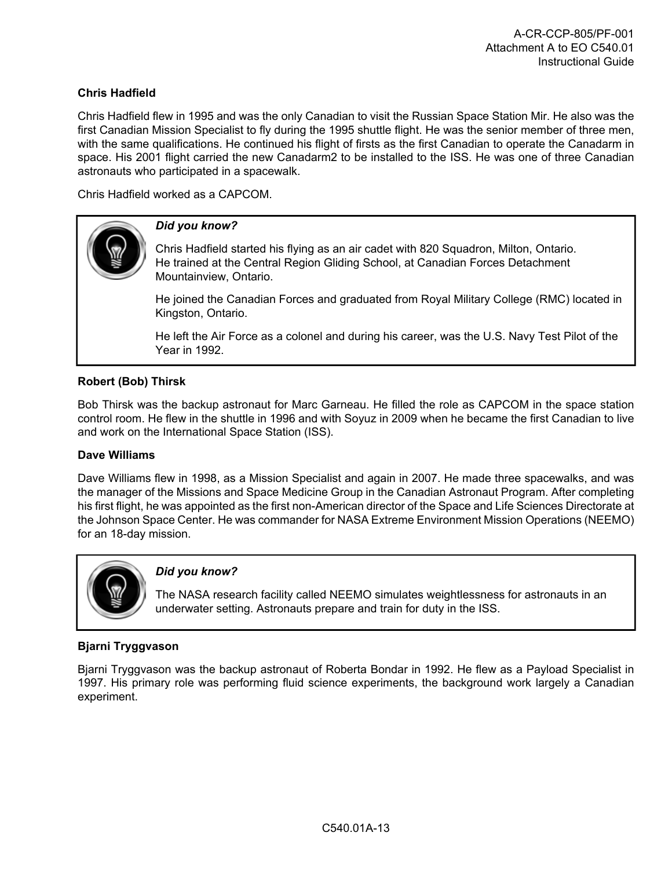# **Chris Hadfield**

Chris Hadfield flew in 1995 and was the only Canadian to visit the Russian Space Station Mir. He also was the first Canadian Mission Specialist to fly during the 1995 shuttle flight. He was the senior member of three men, with the same qualifications. He continued his flight of firsts as the first Canadian to operate the Canadarm in space. His 2001 flight carried the new Canadarm2 to be installed to the ISS. He was one of three Canadian astronauts who participated in a spacewalk.

Chris Hadfield worked as a CAPCOM.



#### **Robert (Bob) Thirsk**

Bob Thirsk was the backup astronaut for Marc Garneau. He filled the role as CAPCOM in the space station control room. He flew in the shuttle in 1996 and with Soyuz in 2009 when he became the first Canadian to live and work on the International Space Station (ISS).

#### **Dave Williams**

Dave Williams flew in 1998, as a Mission Specialist and again in 2007. He made three spacewalks, and was the manager of the Missions and Space Medicine Group in the Canadian Astronaut Program. After completing his first flight, he was appointed as the first non-American director of the Space and Life Sciences Directorate at the Johnson Space Center. He was commander for NASA Extreme Environment Mission Operations (NEEMO) for an 18-day mission.



#### *Did you know?*

The NASA research facility called NEEMO simulates weightlessness for astronauts in an underwater setting. Astronauts prepare and train for duty in the ISS.

#### **Bjarni Tryggvason**

Bjarni Tryggvason was the backup astronaut of Roberta Bondar in 1992. He flew as a Payload Specialist in 1997. His primary role was performing fluid science experiments, the background work largely a Canadian experiment.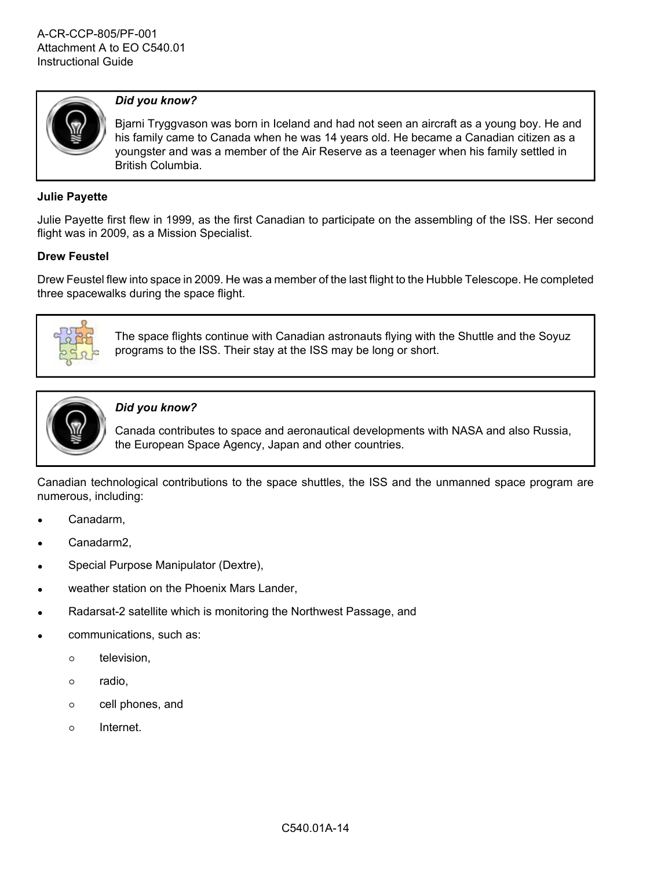

#### *Did you know?*

Bjarni Tryggvason was born in Iceland and had not seen an aircraft as a young boy. He and his family came to Canada when he was 14 years old. He became a Canadian citizen as a youngster and was a member of the Air Reserve as a teenager when his family settled in British Columbia.

#### **Julie Payette**

Julie Payette first flew in 1999, as the first Canadian to participate on the assembling of the ISS. Her second flight was in 2009, as a Mission Specialist.

#### **Drew Feustel**

Drew Feustel flew into space in 2009. He was a member of the last flight to the Hubble Telescope. He completed three spacewalks during the space flight.



The space flights continue with Canadian astronauts flying with the Shuttle and the Soyuz programs to the ISS. Their stay at the ISS may be long or short.



#### *Did you know?*

Canada contributes to space and aeronautical developments with NASA and also Russia, the European Space Agency, Japan and other countries.

Canadian technological contributions to the space shuttles, the ISS and the unmanned space program are numerous, including:

- Canadarm,
- Canadarm2,
- Special Purpose Manipulator (Dextre),
- weather station on the Phoenix Mars Lander,
- Radarsat-2 satellite which is monitoring the Northwest Passage, and
- communications, such as:
	- $\circ$ television,
	- $\circ$ radio,
	- $\circ$ cell phones, and
	- Internet. $\circ$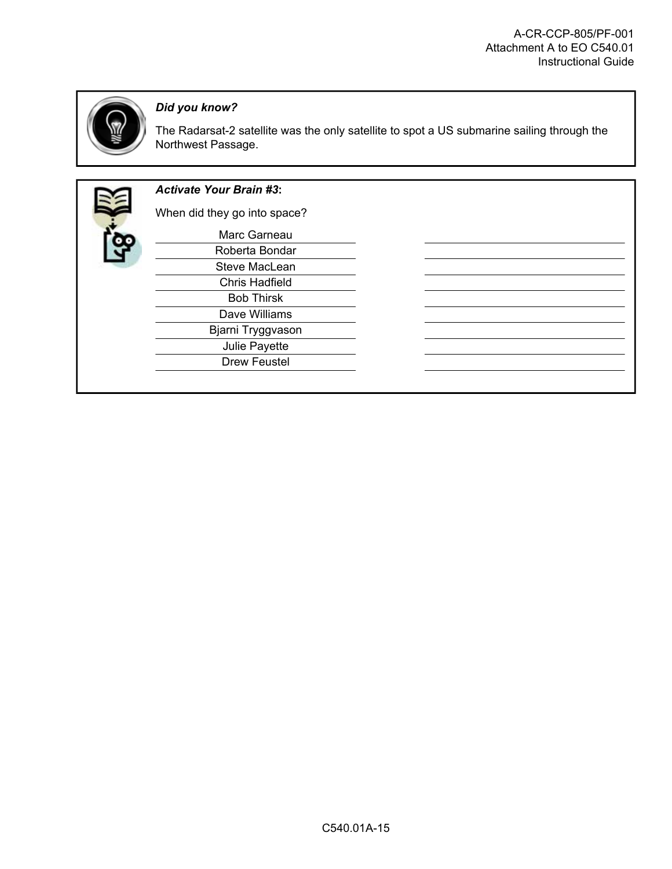

# *Did you know?*

The Radarsat-2 satellite was the only satellite to spot a US submarine sailing through the Northwest Passage.

| <b>Activate Your Brain #3:</b> |  |
|--------------------------------|--|
| When did they go into space?   |  |
| Marc Garneau                   |  |
| Roberta Bondar                 |  |
| Steve MacLean                  |  |
| <b>Chris Hadfield</b>          |  |
| <b>Bob Thirsk</b>              |  |
| Dave Williams                  |  |
| Bjarni Tryggvason              |  |
| Julie Payette                  |  |
| <b>Drew Feustel</b>            |  |
|                                |  |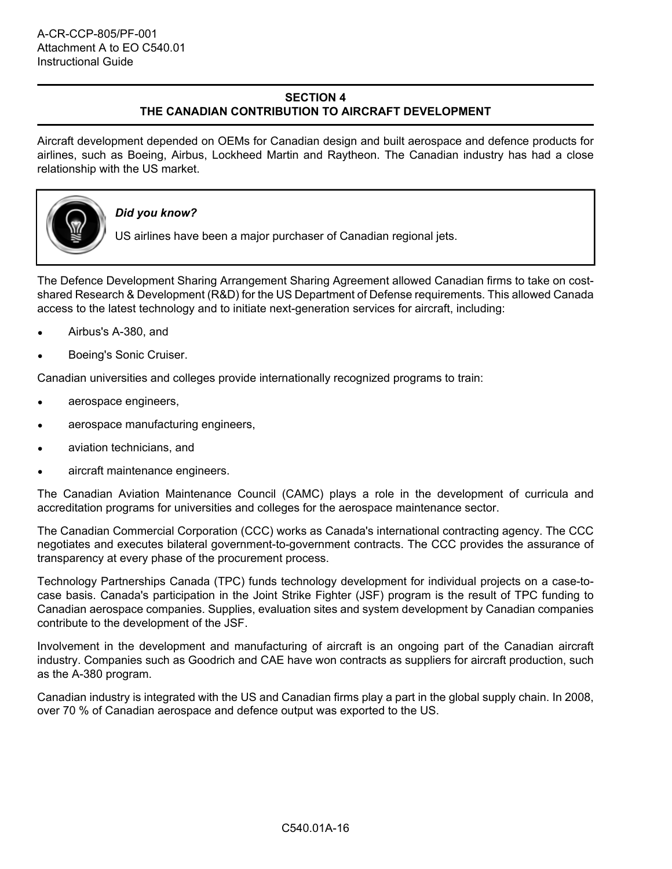#### **SECTION 4 THE CANADIAN CONTRIBUTION TO AIRCRAFT DEVELOPMENT**

Aircraft development depended on OEMs for Canadian design and built aerospace and defence products for airlines, such as Boeing, Airbus, Lockheed Martin and Raytheon. The Canadian industry has had a close relationship with the US market.



# *Did you know?*

US airlines have been a major purchaser of Canadian regional jets.

The Defence Development Sharing Arrangement Sharing Agreement allowed Canadian firms to take on costshared Research & Development (R&D) for the US Department of Defense requirements. This allowed Canada access to the latest technology and to initiate next-generation services for aircraft, including:

- Airbus's A-380, and
- Boeing's Sonic Cruiser.

Canadian universities and colleges provide internationally recognized programs to train:

- aerospace engineers,
- aerospace manufacturing engineers,
- aviation technicians, and
- aircraft maintenance engineers.

The Canadian Aviation Maintenance Council (CAMC) plays a role in the development of curricula and accreditation programs for universities and colleges for the aerospace maintenance sector.

The Canadian Commercial Corporation (CCC) works as Canada's international contracting agency. The CCC negotiates and executes bilateral government-to-government contracts. The CCC provides the assurance of transparency at every phase of the procurement process.

Technology Partnerships Canada (TPC) funds technology development for individual projects on a case-tocase basis. Canada's participation in the Joint Strike Fighter (JSF) program is the result of TPC funding to Canadian aerospace companies. Supplies, evaluation sites and system development by Canadian companies contribute to the development of the JSF.

Involvement in the development and manufacturing of aircraft is an ongoing part of the Canadian aircraft industry. Companies such as Goodrich and CAE have won contracts as suppliers for aircraft production, such as the A-380 program.

Canadian industry is integrated with the US and Canadian firms play a part in the global supply chain. In 2008, over 70 % of Canadian aerospace and defence output was exported to the US.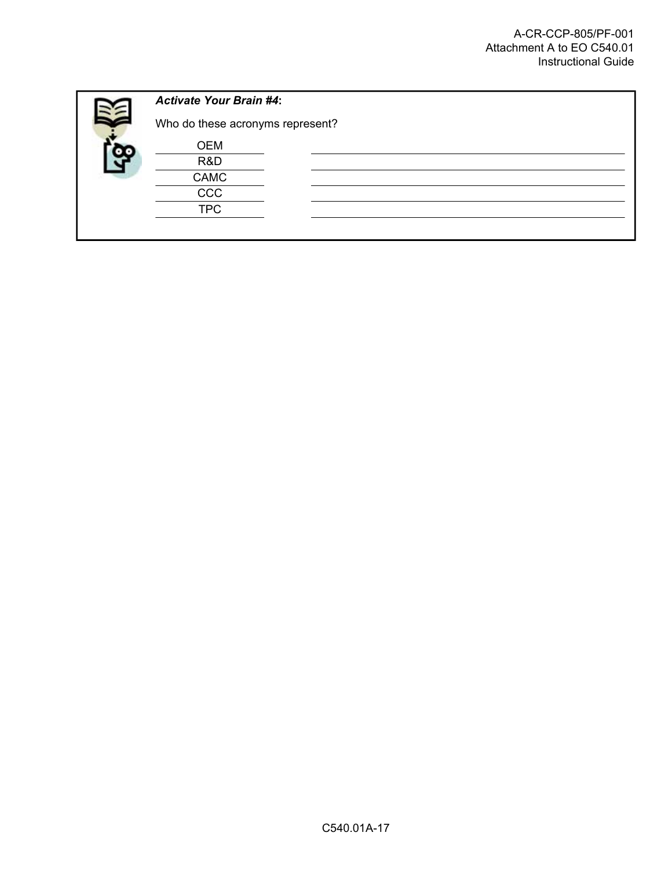| <b>Activate Your Brain #4:</b>   |  |
|----------------------------------|--|
| Who do these acronyms represent? |  |
| <b>OEM</b>                       |  |
| R&D                              |  |
| CAMC                             |  |
| CCC                              |  |
| <b>TPC</b>                       |  |
|                                  |  |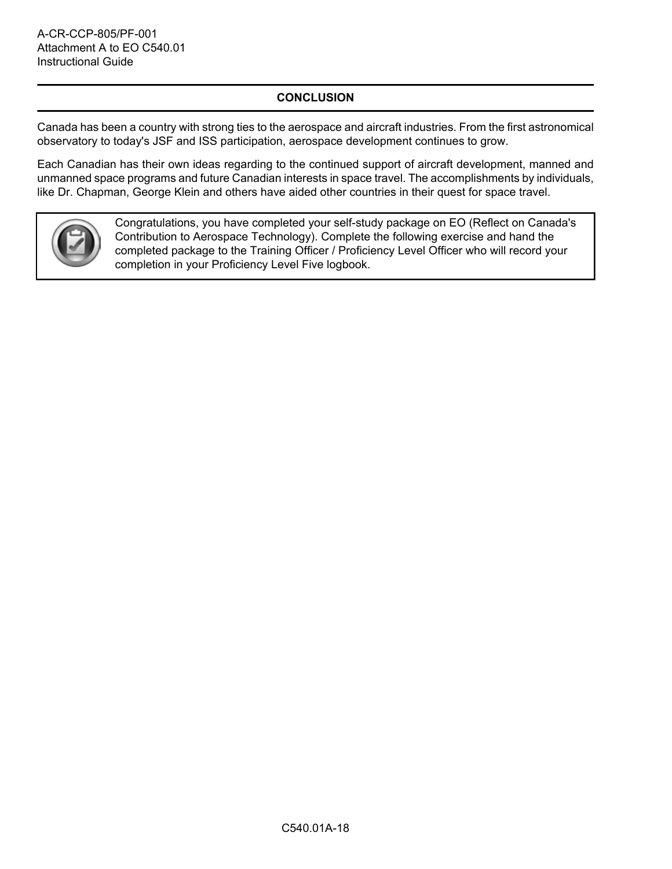# **CONCLUSION**

Canada has been a country with strong ties to the aerospace and aircraft industries. From the first astronomical observatory to today's JSF and ISS participation, aerospace development continues to grow.

Each Canadian has their own ideas regarding to the continued support of aircraft development, manned and unmanned space programs and future Canadian interests in space travel. The accomplishments by individuals, like Dr. Chapman, George Klein and others have aided other countries in their quest for space travel.



Congratulations, you have completed your self-study package on EO (Reflect on Canada's Contribution to Aerospace Technology). Complete the following exercise and hand the completed package to the Training Officer / Proficiency Level Officer who will record your completion in your Proficiency Level Five logbook.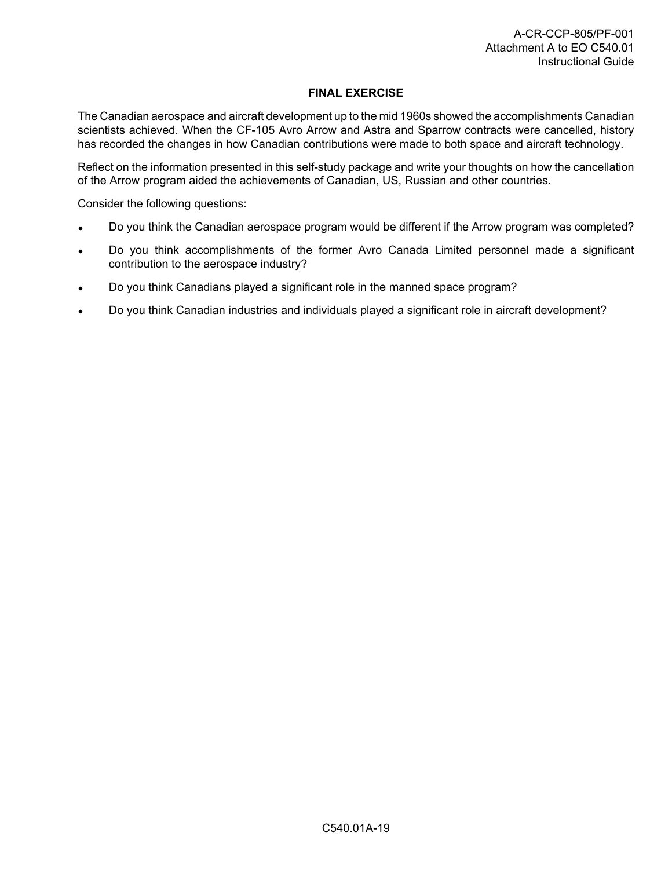# **FINAL EXERCISE**

The Canadian aerospace and aircraft development up to the mid 1960s showed the accomplishments Canadian scientists achieved. When the CF-105 Avro Arrow and Astra and Sparrow contracts were cancelled, history has recorded the changes in how Canadian contributions were made to both space and aircraft technology.

Reflect on the information presented in this self-study package and write your thoughts on how the cancellation of the Arrow program aided the achievements of Canadian, US, Russian and other countries.

Consider the following questions:

- Do you think the Canadian aerospace program would be different if the Arrow program was completed?
- Do you think accomplishments of the former Avro Canada Limited personnel made a significant  $\bullet$ contribution to the aerospace industry?
- Do you think Canadians played a significant role in the manned space program?  $\bullet$
- Do you think Canadian industries and individuals played a significant role in aircraft development? $\bullet$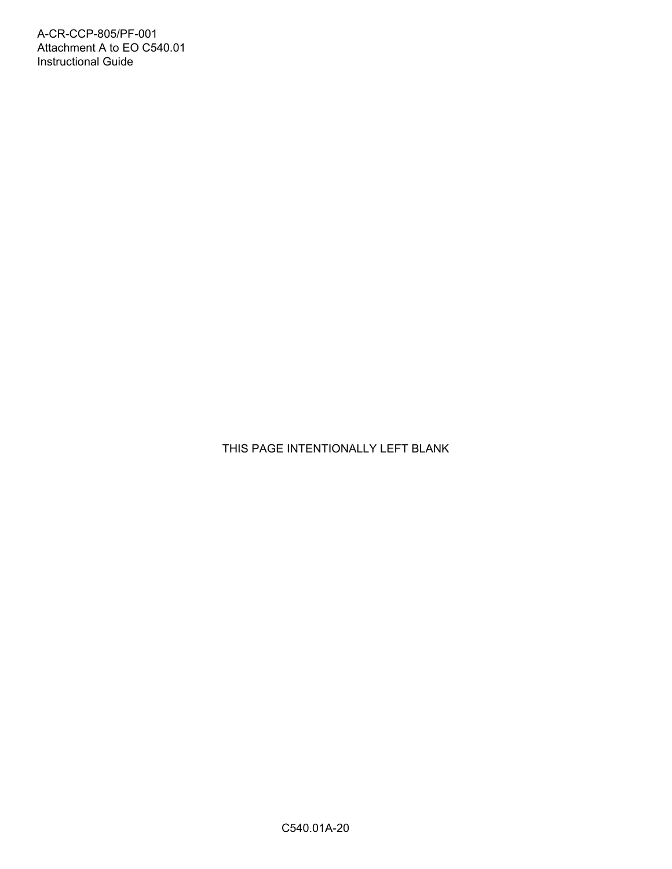THIS PAGE INTENTIONALLY LEFT BLANK